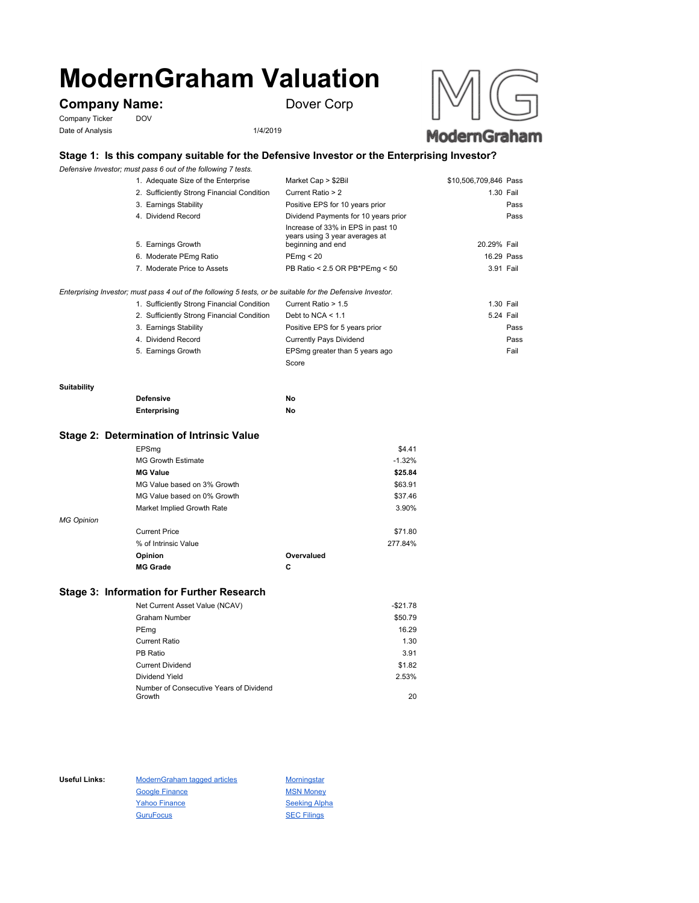# **ModernGraham Valuation**

# **Company Name:** Dover Corp

Company Ticker DOV Date of Analysis 1/4/2019





## **Stage 1: Is this company suitable for the Defensive Investor or the Enterprising Investor?**

*Defensive Investor; must pass 6 out of the following 7 tests.*

| 1. Adequate Size of the Enterprise                                                                          | Market Cap > \$2Bil                                                                      | \$10,506,709,846 Pass |
|-------------------------------------------------------------------------------------------------------------|------------------------------------------------------------------------------------------|-----------------------|
| 2. Sufficiently Strong Financial Condition                                                                  | Current Ratio > 2                                                                        | 1.30 Fail             |
| 3. Earnings Stability                                                                                       | Positive EPS for 10 years prior                                                          | Pass                  |
| 4. Dividend Record                                                                                          | Dividend Payments for 10 years prior                                                     | Pass                  |
| 5. Earnings Growth                                                                                          | Increase of 33% in EPS in past 10<br>years using 3 year averages at<br>beginning and end | 20.29% Fail           |
| 6. Moderate PEmg Ratio                                                                                      | PEma < 20                                                                                | 16.29 Pass            |
| 7. Moderate Price to Assets                                                                                 | PB Ratio < 2.5 OR PB*PEmg < 50                                                           | 3.91 Fail             |
| Enterprising Investor; must pass 4 out of the following 5 tests, or be suitable for the Defensive Investor. |                                                                                          |                       |
| 1 Sufficiently Strong Einancial Condition                                                                   | Current Ratio $> 1.5$                                                                    | $1.30$ Fail           |

| 1. Sufficiently Strong Financial Condition | Current Ratio > 1.5            | 1.30 Fail |
|--------------------------------------------|--------------------------------|-----------|
| 2. Sufficiently Strong Financial Condition | Debt to NCA $<$ 1.1            | 5.24 Fail |
| 3. Earnings Stability                      | Positive EPS for 5 years prior | Pass      |
| 4. Dividend Record                         | <b>Currently Pays Dividend</b> | Pass      |
| 5. Earnings Growth                         | EPSmg greater than 5 years ago | Fail      |
|                                            | Score                          |           |

#### **Suitability**

| <b>Defensive</b> |              | No |
|------------------|--------------|----|
|                  | Enterprising | No |

#### **Stage 2: Determination of Intrinsic Value**

|                   | EPSmg                       |            | \$4.41   |
|-------------------|-----------------------------|------------|----------|
|                   | <b>MG Growth Estimate</b>   |            | $-1.32%$ |
|                   | <b>MG Value</b>             |            | \$25.84  |
|                   | MG Value based on 3% Growth |            | \$63.91  |
|                   | MG Value based on 0% Growth |            | \$37.46  |
|                   | Market Implied Growth Rate  |            | 3.90%    |
| <b>MG Opinion</b> |                             |            |          |
|                   | <b>Current Price</b>        |            | \$71.80  |
|                   | % of Intrinsic Value        |            | 277.84%  |
|                   | Opinion                     | Overvalued |          |
|                   | <b>MG Grade</b>             | С          |          |
|                   |                             |            |          |

### **Stage 3: Information for Further Research**

| Net Current Asset Value (NCAV)          | $-$21.78$ |
|-----------------------------------------|-----------|
| Graham Number                           | \$50.79   |
| PEmg                                    | 16.29     |
| Current Ratio                           | 1.30      |
| PB Ratio                                | 3.91      |
| <b>Current Dividend</b>                 | \$1.82    |
| Dividend Yield                          | 2.53%     |
| Number of Consecutive Years of Dividend |           |
| Growth                                  | 20        |

Useful Links: ModernGraham tagged articles Morningstar Google Finance MSN Money Yahoo Finance Seeking Alpha GuruFocus SEC Filings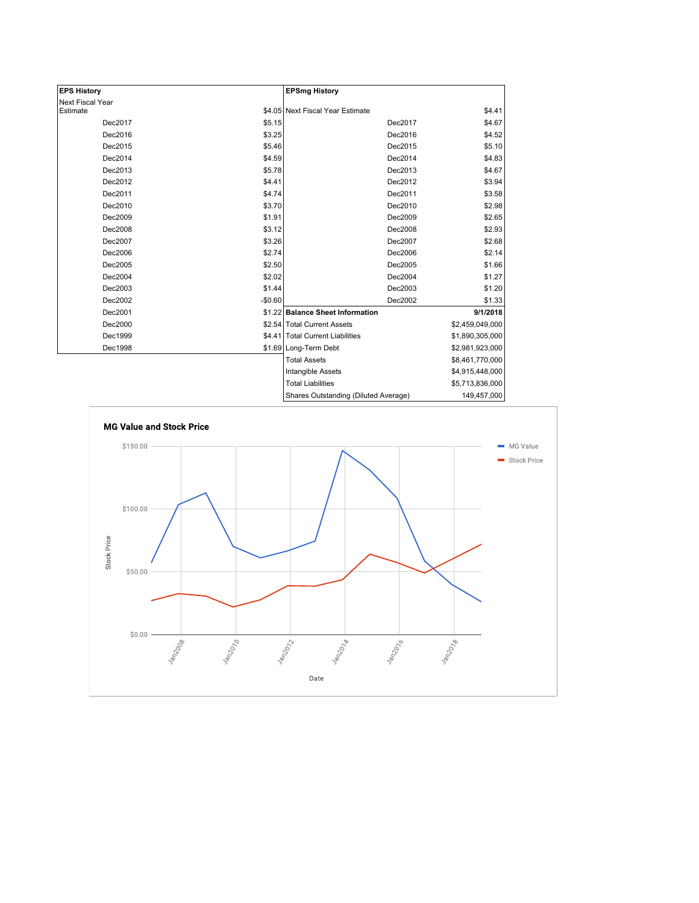| <b>EPS History</b> |          | <b>EPSmg History</b>                 |                 |
|--------------------|----------|--------------------------------------|-----------------|
| Next Fiscal Year   |          |                                      |                 |
| Estimate           |          | \$4.05 Next Fiscal Year Estimate     | \$4.41          |
| Dec2017            | \$5.15   | Dec2017                              | \$4.67          |
| Dec2016            | \$3.25   | Dec2016                              | \$4.52          |
| Dec2015            | \$5.46   | Dec2015                              | \$5.10          |
| Dec2014            | \$4.59   | Dec2014                              | \$4.83          |
| Dec2013            | \$5.78   | Dec2013                              | \$4.67          |
| Dec2012            | \$4.41   | Dec2012                              | \$3.94          |
| Dec2011            | \$4.74   | Dec2011                              | \$3.58          |
| Dec2010            | \$3.70   | Dec2010                              | \$2.98          |
| Dec2009            | \$1.91   | Dec2009                              | \$2.65          |
| Dec2008            | \$3.12   | Dec2008                              | \$2.93          |
| Dec2007            | \$3.26   | Dec2007                              | \$2.68          |
| Dec2006            | \$2.74   | Dec2006                              | \$2.14          |
| Dec2005            | \$2.50   | Dec2005                              | \$1.66          |
| Dec2004            | \$2.02   | Dec2004                              | \$1.27          |
| Dec2003            | \$1.44   | Dec2003                              | \$1.20          |
| Dec2002            | $-$0.60$ | Dec2002                              | \$1.33          |
| Dec2001            |          | \$1.22 Balance Sheet Information     | 9/1/2018        |
| Dec2000            |          | \$2.54 Total Current Assets          | \$2,459,049,000 |
| Dec1999            |          | \$4.41 Total Current Liabilities     | \$1,890,305,000 |
| Dec1998            |          | \$1.69 Long-Term Debt                | \$2,981,923,000 |
|                    |          | <b>Total Assets</b>                  | \$8,461,770,000 |
|                    |          | Intangible Assets                    | \$4,915,448,000 |
|                    |          | <b>Total Liabilities</b>             | \$5,713,836,000 |
|                    |          | Charge Outetanding (Diluted Average) | 140 457 000     |